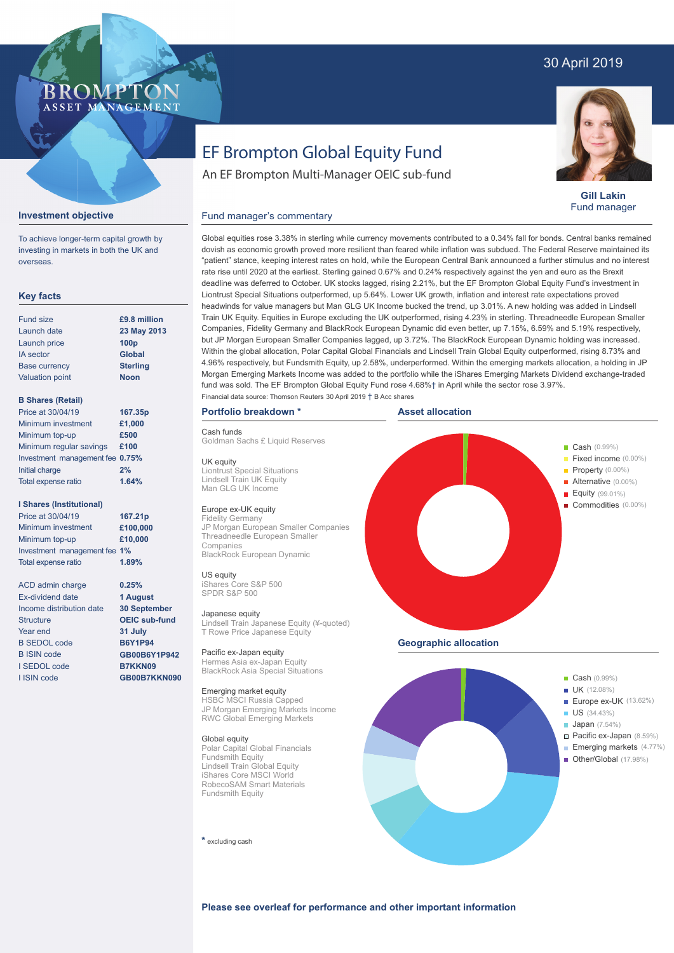# 30 April 2019

# BROMP ASSET MANAGEMENT

**Gill Lakin** Fund manager

# EF Brompton Global Equity Fund

An EF Brompton Multi-Manager OEIC sub-fund

### Fund manager's commentary



**Investment objective**

| <b>Fund size</b>       | £9.8             |
|------------------------|------------------|
| Launch date            | 23 M             |
| Launch price           | 100 <sub>p</sub> |
| <b>IA</b> sector       | Glob             |
| Base currency          | <b>Sterl</b>     |
| <b>Valuation point</b> | <b>Noor</b>      |

## **23 May 2013** hal **Sterling Noon £9.8 million**

#### **B Shares (Retail)**

**Key facts**

| Price at 30/04/19               | 167.35p |
|---------------------------------|---------|
| Minimum investment              | £1,000  |
| Minimum top-up                  | £500    |
| Minimum regular savings         | £100    |
| Investment management fee 0.75% |         |
| Initial charge                  | 2%      |
| Total expense ratio             | 1.64%   |

#### **I Shares (Institutional)**

Minimum investment Minimum top-up Investment management fee **1%** Total expense ratio **£100,000 £10,000** Price at 30/04/19 **167.21p 1.89%**

> **0.25% 1 August 30 September OEIC sub-fund 31 July B6Y1P94 GB00B6Y1P942 B7KKN09 GB00B7KKN090**

ACD admin charge Ex-dividend date Income distribution date Structure Year end B SEDOL code B ISIN code I SEDOL code I ISIN code

Global equities rose 3.38% in sterling while currency movements contributed to a 0.34% fall for bonds. Central banks remained dovish as economic growth proved more resilient than feared while inflation was subdued. The Federal Reserve maintained its "patient" stance, keeping interest rates on hold, while the European Central Bank announced a further stimulus and no interest rate rise until 2020 at the earliest. Sterling gained 0.67% and 0.24% respectively against the yen and euro as the Brexit deadline was deferred to October. UK stocks lagged, rising 2.21%, but the EF Brompton Global Equity Fund's investment in Liontrust Special Situations outperformed, up 5.64%. Lower UK growth, inflation and interest rate expectations proved headwinds for value managers but Man GLG UK Income bucked the trend, up 3.01%. A new holding was added in Lindsell Train UK Equity. Equities in Europe excluding the UK outperformed, rising 4.23% in sterling. Threadneedle European Smaller Companies, Fidelity Germany and BlackRock European Dynamic did even better, up 7.15%, 6.59% and 5.19% respectively, but JP Morgan European Smaller Companies lagged, up 3.72%. The BlackRock European Dynamic holding was increased. Within the global allocation, Polar Capital Global Financials and Lindsell Train Global Equity outperformed, rising 8.73% and 4.96% respectively, but Fundsmith Equity, up 2.58%, underperformed. Within the emerging markets allocation, a holding in JP Morgan Emerging Markets Income was added to the portfolio while the iShares Emerging Markets Dividend exchange-traded fund was sold. The EF Brompton Global Equity Fund rose 4.68%† in April while the sector rose 3.97%. Financial data source: Thomson Reuters 30 April 2019 † B Acc shares

# **Portfolio breakdown \***

#### Cash funds

Goldman Sachs £ Liquid Reserves

UK equity Liontrust Special Situations Lindsell Train UK Equity Man GLG UK Income

### Europe ex-UK equity

Fidelity Germany JP Morgan European Smaller Companies Threadneedle European Smaller Companies BlackRock European Dynamic

#### US equity iShares Core S&P 500

SPDR S&P 500 Japanese equity

Lindsell Train Japanese Equity (¥-quoted) T Rowe Price Japanese Equity

Pacific ex-Japan equity Hermes Asia ex-Japan Equity BlackRock Asia Special Situations

### Emerging market equity

HSBC MSCI Russia Capped JP Morgan Emerging Markets Income RWC Global Emerging Markets

#### Global equity

Polar Capital Global Financials Fundsmith Equity Lindsell Train Global Equity iShares Core MSCI World RobecoSAM Smart Materials Fundsmith Equity

**\*** excluding cash





- UK (12.08%)
- Europe ex-UK (13.62%) **US** (34.43%)
- **Japan** (7.54%)
	- Pacific ex-Japan (8.59%)
- Emerging markets (4.77%) — Other/Global (17.98%)
- 

ł

**Please see overleaf for performance and other important information**